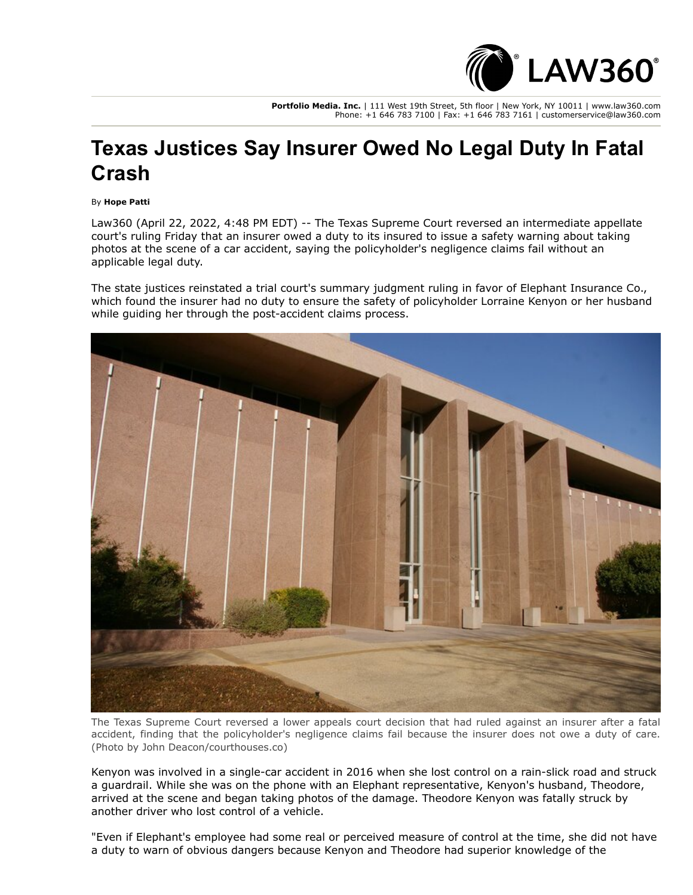

**Portfolio Media. Inc.** | 111 West 19th Street, 5th floor | New York, NY 10011 | www.law360.com Phone: +1 646 783 7100 | Fax: +1 646 783 7161 | customerservice@law360.com

## **Texas Justices Say Insurer Owed No Legal Duty In Fatal Crash**

By **Hope Patti**

Law360 (April 22, 2022, 4:48 PM EDT) -- The Texas Supreme Court reversed an intermediate appellate court's ruling Friday that an insurer owed a duty to its insured to issue a safety warning about taking photos at the scene of a car accident, saying the policyholder's negligence claims fail without an applicable legal duty.

The state justices reinstated a trial court's summary judgment ruling in favor of Elephant Insurance Co., which found the insurer had no duty to ensure the safety of policyholder Lorraine Kenyon or her husband while guiding her through the post-accident claims process.



The Texas Supreme Court reversed a lower appeals court decision that had ruled against an insurer after a fatal accident, finding that the policyholder's negligence claims fail because the insurer does not owe a duty of care. (Photo by John Deacon/courthouses.co)

Kenyon was involved in a single-car accident in 2016 when she lost control on a rain-slick road and struck a guardrail. While she was on the phone with an Elephant representative, Kenyon's husband, Theodore, arrived at the scene and began taking photos of the damage. Theodore Kenyon was fatally struck by another driver who lost control of a vehicle.

"Even if Elephant's employee had some real or perceived measure of control at the time, she did not have a duty to warn of obvious dangers because Kenyon and Theodore had superior knowledge of the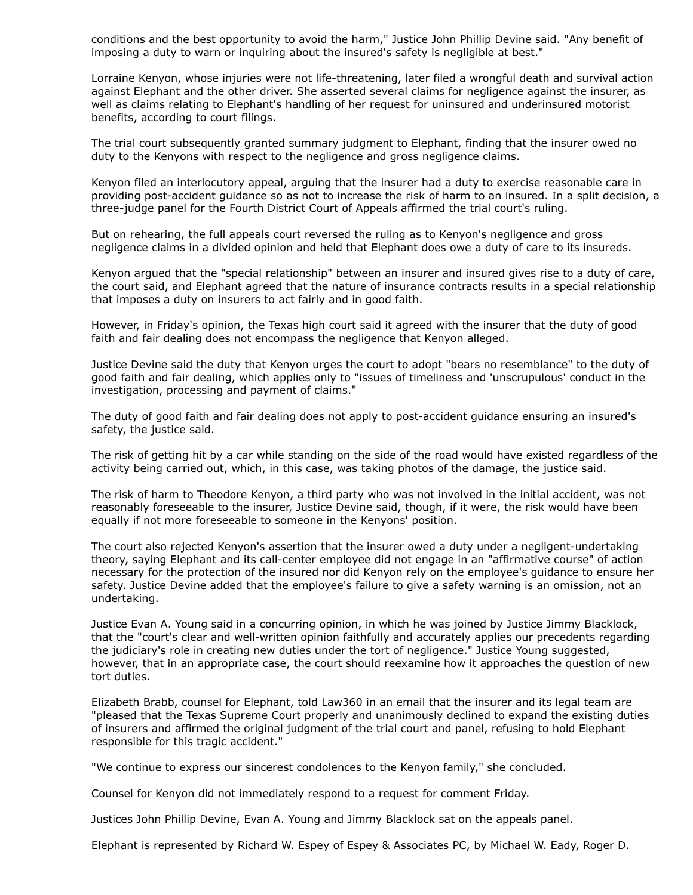conditions and the best opportunity to avoid the harm," Justice John Phillip Devine said. "Any benefit of imposing a duty to warn or inquiring about the insured's safety is negligible at best."

Lorraine Kenyon, whose injuries were not life-threatening, later filed a wrongful death and survival action against Elephant and the other driver. She asserted several claims for negligence against the insurer, as well as claims relating to Elephant's handling of her request for uninsured and underinsured motorist benefits, according to court filings.

The trial court subsequently granted summary judgment to Elephant, finding that the insurer owed no duty to the Kenyons with respect to the negligence and gross negligence claims.

Kenyon filed an interlocutory appeal, arguing that the insurer had a duty to exercise reasonable care in providing post-accident guidance so as not to increase the risk of harm to an insured. In a split decision, a three-judge panel for the Fourth District Court of Appeals affirmed the trial court's ruling.

But on rehearing, the full appeals court reversed the ruling as to Kenyon's negligence and gross negligence claims in a divided opinion and held that Elephant does owe a duty of care to its insureds.

Kenyon argued that the "special relationship" between an insurer and insured gives rise to a duty of care, the court said, and Elephant agreed that the nature of insurance contracts results in a special relationship that imposes a duty on insurers to act fairly and in good faith.

However, in Friday's opinion, the Texas high court said it agreed with the insurer that the duty of good faith and fair dealing does not encompass the negligence that Kenyon alleged.

Justice Devine said the duty that Kenyon urges the court to adopt "bears no resemblance" to the duty of good faith and fair dealing, which applies only to "issues of timeliness and 'unscrupulous' conduct in the investigation, processing and payment of claims."

The duty of good faith and fair dealing does not apply to post-accident guidance ensuring an insured's safety, the justice said.

The risk of getting hit by a car while standing on the side of the road would have existed regardless of the activity being carried out, which, in this case, was taking photos of the damage, the justice said.

The risk of harm to Theodore Kenyon, a third party who was not involved in the initial accident, was not reasonably foreseeable to the insurer, Justice Devine said, though, if it were, the risk would have been equally if not more foreseeable to someone in the Kenyons' position.

The court also rejected Kenyon's assertion that the insurer owed a duty under a negligent-undertaking theory, saying Elephant and its call-center employee did not engage in an "affirmative course" of action necessary for the protection of the insured nor did Kenyon rely on the employee's guidance to ensure her safety. Justice Devine added that the employee's failure to give a safety warning is an omission, not an undertaking.

Justice Evan A. Young said in a concurring opinion, in which he was joined by Justice Jimmy Blacklock, that the "court's clear and well-written opinion faithfully and accurately applies our precedents regarding the judiciary's role in creating new duties under the tort of negligence." Justice Young suggested, however, that in an appropriate case, the court should reexamine how it approaches the question of new tort duties.

Elizabeth Brabb, counsel for Elephant, told Law360 in an email that the insurer and its legal team are "pleased that the Texas Supreme Court properly and unanimously declined to expand the existing duties of insurers and affirmed the original judgment of the trial court and panel, refusing to hold Elephant responsible for this tragic accident."

"We continue to express our sincerest condolences to the Kenyon family," she concluded.

Counsel for Kenyon did not immediately respond to a request for comment Friday.

Justices John Phillip Devine, Evan A. Young and Jimmy Blacklock sat on the appeals panel.

Elephant is represented by Richard W. Espey of [Espey & Associates PC](https://www.law360.com/firms/espey-associates), by Michael W. Eady, Roger D.